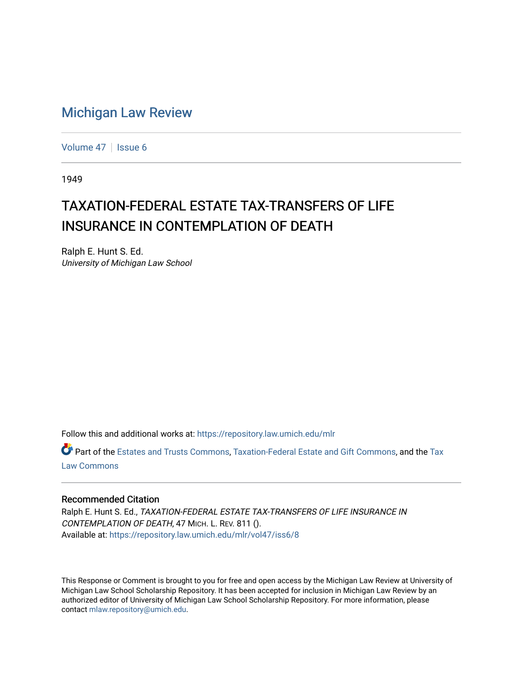# [Michigan Law Review](https://repository.law.umich.edu/mlr)

[Volume 47](https://repository.law.umich.edu/mlr/vol47) | [Issue 6](https://repository.law.umich.edu/mlr/vol47/iss6)

1949

# TAXATION-FEDERAL ESTATE TAX-TRANSFERS OF LIFE INSURANCE IN CONTEMPLATION OF DEATH

Ralph E. Hunt S. Ed. University of Michigan Law School

Follow this and additional works at: [https://repository.law.umich.edu/mlr](https://repository.law.umich.edu/mlr?utm_source=repository.law.umich.edu%2Fmlr%2Fvol47%2Fiss6%2F8&utm_medium=PDF&utm_campaign=PDFCoverPages) 

Part of the [Estates and Trusts Commons,](http://network.bepress.com/hgg/discipline/906?utm_source=repository.law.umich.edu%2Fmlr%2Fvol47%2Fiss6%2F8&utm_medium=PDF&utm_campaign=PDFCoverPages) [Taxation-Federal Estate and Gift Commons,](http://network.bepress.com/hgg/discipline/880?utm_source=repository.law.umich.edu%2Fmlr%2Fvol47%2Fiss6%2F8&utm_medium=PDF&utm_campaign=PDFCoverPages) and the [Tax](http://network.bepress.com/hgg/discipline/898?utm_source=repository.law.umich.edu%2Fmlr%2Fvol47%2Fiss6%2F8&utm_medium=PDF&utm_campaign=PDFCoverPages) [Law Commons](http://network.bepress.com/hgg/discipline/898?utm_source=repository.law.umich.edu%2Fmlr%2Fvol47%2Fiss6%2F8&utm_medium=PDF&utm_campaign=PDFCoverPages) 

#### Recommended Citation

Ralph E. Hunt S. Ed., TAXATION-FEDERAL ESTATE TAX-TRANSFERS OF LIFE INSURANCE IN CONTEMPLATION OF DEATH, 47 MICH. L. REV. 811 (). Available at: [https://repository.law.umich.edu/mlr/vol47/iss6/8](https://repository.law.umich.edu/mlr/vol47/iss6/8?utm_source=repository.law.umich.edu%2Fmlr%2Fvol47%2Fiss6%2F8&utm_medium=PDF&utm_campaign=PDFCoverPages)

This Response or Comment is brought to you for free and open access by the Michigan Law Review at University of Michigan Law School Scholarship Repository. It has been accepted for inclusion in Michigan Law Review by an authorized editor of University of Michigan Law School Scholarship Repository. For more information, please contact [mlaw.repository@umich.edu](mailto:mlaw.repository@umich.edu).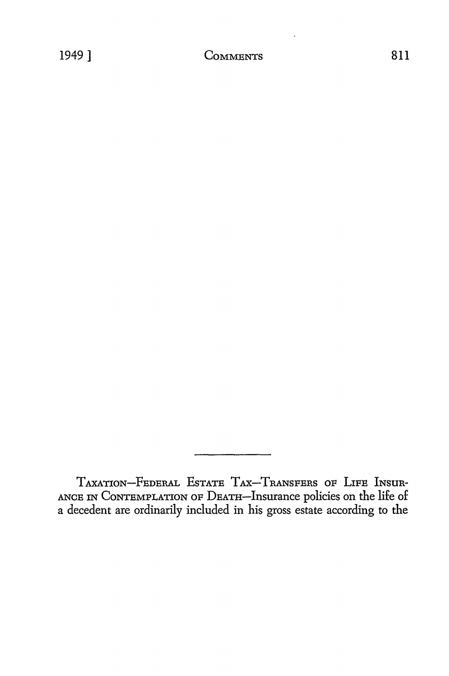TAXATION-FEDERAL EsTATE TAX-TRANSFERS OF LIFE INSUR-ANCE IN CoNTEMPLATION OF DEATH-Insurance policies on the life of a decedent are ordinarily included in his gross estate according to the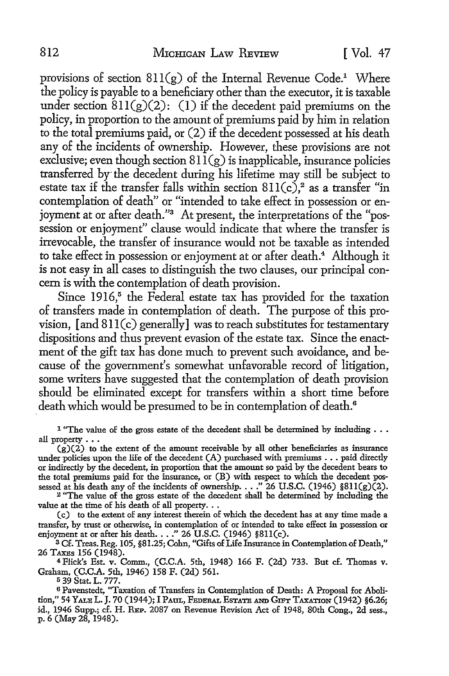provisions of section  $811(g)$  of the Internal Revenue Code.<sup>1</sup> Where the policy is payable to a beneficiary other than the executor, it is taxable under section  $811(g)(2)$ : (1) if the decedent paid premiums on the policy, in proportion to the amount of premiums paid by him in relation to the total premiums paid, or (2) if the decedent possessed at his death any of the incidents of ownership. However, these provisions are not exclusive; even though section  $81\bar{1}(g)$  is inapplicable, insurance policies transferred by the decedent during his lifetime may still be subject to estate tax if the transfer falls within section  $811(c)$ ,<sup>2</sup> as a transfer "in contemplation of death" or "intended to take effect in possession or enjoyment at or after death."<sup>3</sup> At present, the interpretations of the "possession or enjoyment" clause would indicate that where the transfer is irrevocable, the transfer of insurance would not be taxable as intended to take effect in possession or enjoyment at or after death.<sup>4</sup> Although it is not easy in all cases to distinguish the two clauses, our principal concern is with the contemplation of death provision.

Since  $1916$ <sup>5</sup> the Federal estate tax has provided for the taxation of transfers made in contemplation of death. The purpose of this provision,  $[$ and  $811(c)$  generally $]$  was to reach substitutes for testamentary dispositions and thus prevent evasion of the estate tax. Since the enactment of the gift tax has done much to prevent such avoidance, and because of the government's somewhat unfavorable record of litigation, some writers have suggested that the contemplation of death provision should be eliminated except for transfers within a short time before death which would be presumed to be in contemplation of death.<sup>6</sup>

<sup>1</sup> "The value of the gross estate of the decedent shall be determined by including  $\ldots$ all property . . .

 $(g)(2)$  to the extent of the amount receivable by all other beneficiaries as insurance under policies upon the life of the decedent  $(A)$  purchased with premiums  $\ldots$  paid directly or indirectly by the decedent, in proportion that the amount so paid by the decedent bears to the total premiums paid for the insurance, or (B) with respect to which the decedent posthe total premiums paid for the insurance, or (B) with respect to which the decedent possessed at his death any of the incidents of ownership...." 26 U.S.C. (1946) §811(g)(2). 2 "The value of the gross estate of the decede

value at the time of his death of all property.  $\ldots$ 

(c) to the extent of any interest therein of which the decedent has at any time made a transfer, by trust or otherwise, in contemplation of or intended to take effect in possession or enjoyment at or after his death.  $\ldots$  " 26 U.S.C. (1946) §811(c).

<sup>3</sup>Cf. Treas. Reg. 105, §81.25; Cohn, "Gifts of Life Insurance in Contemplation of Death," 26 TAXEs 156 (1948).

<sup>4</sup>Flick's Est. v. Comm., (C.C.A. 5th, 1948) 166 F. (2d) 733. But cf. Thomas v. Graham, (C.C.A. 5th, 1946) 158 F. (2d) 561.

5 39 Stat. L. 777.

6 Pavenstedt, "Taxation of Transfers in Contemplation of Death: A Proposal for Abolition," 54 Yale L. J. 70 (1944); I Paul, Federal Estate and Gift Taxation (1942) §6.26; id., 1946 Supp.; cf. H. REP. 2087 on Revenue Revision Act of 1948, 80th Cong., 2d sess., p. 6 (May 28, 1948).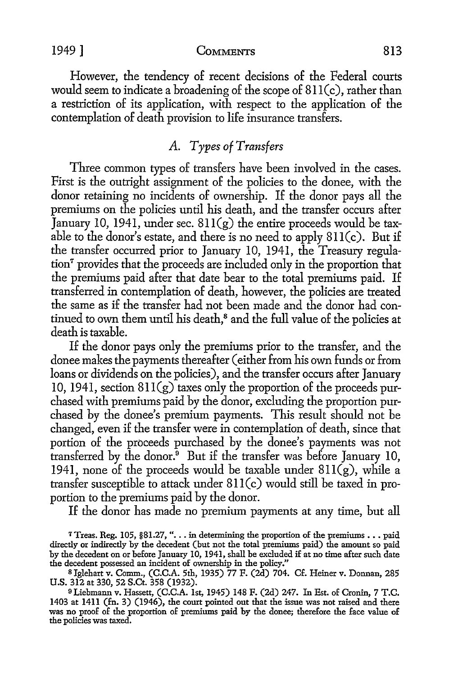However, the tendency of recent decisions of the Federal courts would seem to indicate a broadening of the scope of  $811(c)$ , rather than a restriction of its application, with respect to the application of the contemplation of death provision to life insurance transfers.

# *A. Types of Transfers*

Three common types of transfers have been involved in the cases. First is the outright assignment of the policies to the donee, with the donor retaining no incidents of ownership. If the donor pays all the premiums on the policies until his death, and the transfer occurs after January 10, 1941, under sec.  $811(g)$  the entire proceeds would be taxable to the donor's estate, and there is no need to apply  $811(c)$ . But if the transfer occurred prior to January 10, 1941, the Treasury regulation7 provides that the proceeds are included only in the proportion that the premiums paid after that date bear to the total premiums paid. If transferred in contemplation of death, however, the policies are treated the same as if the transfer had not been made and the donor had continued to own them until his death,<sup>8</sup> and the full value of the policies at death is taxable.

If the donor pays only the premiums prior to the transfer, and the donee makes the payments thereafter ( either from his own funds or from loans or dividends on the policies), and the transfer occurs after January 10, 1941, section  $811(g)$  taxes only the proportion of the proceeds purchased with premiums paid by the donor, excluding the proportion purchased by the donee's premium payments. This result should not be changed, even if the transfer were in contemplation of death, since that portion of the proceeds purchased by the donee's payments was not transferred by the donor. $9$  But if the transfer was before January 10, 1941, none of the proceeds would be taxable under  $811(g)$ , while a transfer susceptible to attack under 8ll(c) would still be taxed in proportion to the premiums paid by the donor.

If the donor has made no premium payments at any time, but all

7 Treas. Reg. 105, §81.27, ". . . in determining the proportion of the premiums  $\ldots$  paid directly or indirectly by the decedent (but not the total premiums paid) the amount so paid by the decedent on or before January 10, 1941, shall be excluded if at no time after such date the decedent possessed an incident of ownership in the policy.''

<sup>8</sup> Jglehart v. Comm., (C.C.A. 5th, 1935) 77 F. (2d) 704. Cf. Heiner v. Donnan, 285 U.S. 312 at 330, 52 S.Ct. 358 (1932).

<sup>9</sup>Liebmann v. Hassett, (C.C.A. 1st, 1945) 148 F. (2d) 247. In Est. of Cronin, 7 T.C. 1403 at 1411 (fn. 3) (1946), the court pointed out that the issue was not raised and there was no proof of the proportion of premiums paid by the donee; therefore the face value of the policies was taxed.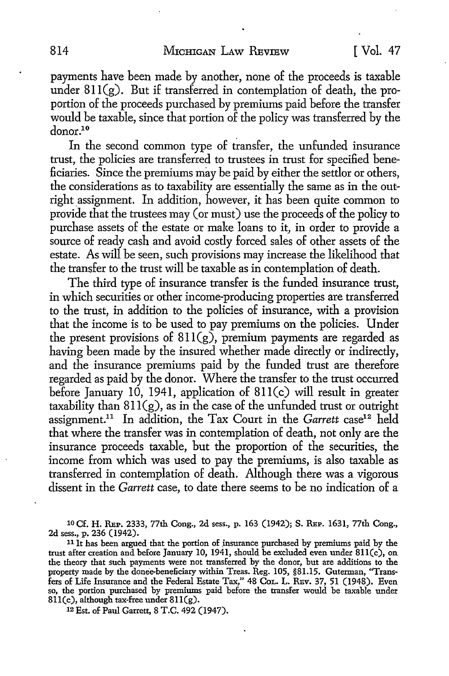payments have been made by another, none of the proceeds is taxable under 811(g). But if transferred in contemplation of death, the proportion of the proceeds purchased by premiums paid before the transfer would be taxable, since that portion of the policy was transferred by the donor.10

In the second common type of transfer, the unfunded insurance trust, the policies are transferred to trustees in trust for specified beneficiaries. Since the premiums may be paid by either the settlor or others, the considerations as to taxability are essentially the same as in the outright assignment. In addition, however, it has been quite common to provide that the trustees may (or must) use the proceeds of the policy to purchase assets of the estate or make loans to it, in order to provide a source of ready cash and avoid costly forced sales of other assets of the estate. As will be seen, such provisions may increase the likelihood that the transfer to the trust will be taxable as in contemplation of death.

The third type of insurance transfer is the funded insurance trust, in which securities or other income-producing properties are transferred to the trust, in addition to the policies of insurance, with a provision that the income is to be used to pay premiums on the policies. Under the present provisions of  $811(g)$ , premium payments are regarded as having been made by the insured whether made directly or indirectly, and the insurance premiums paid by the funded trust are therefore regarded as paid by the donor. Where the transfer to the trust occurred before January 10, 1941, application of  $811(c)$  will result in greater taxability than  $811(g)$ , as in the case of the unfunded trust or outright assignment.<sup>11</sup> In addition, the Tax Court in the *Garrett* case<sup>12</sup> held that where the transfer was in contemplation of death, not only are the insurance proceeds taxable, but the proportion of the securities, the income from which was used to pay the premiums, is also taxable as transferred in contemplation of death. Although there was a vigorous dissent in the *Garrett* case, to date there seems to be no indication of a

10 Cf. H. REP. 2333, 77th Cong., 2d sess., p. 163 (1942); S. REP. 1631, 77th Cong., 2d sess., p. 236 (1942).

<sup>11</sup> It has been argued that the portion of insurance purchased by premiums paid by the trust after creation and before January 10, 1941, should be excluded even under 8ll(c), on the theory that such payments were not transferred by the donor, but are additions to the property made by the donee-beneficiary within Treas. Reg. 105, §81.15. Guterman, "Transfers of Life Insurance and the Federal Estate Tax," 48 CoL. L. REv. 37, 51 (1948). Even so, the portion purchased by premiums paid before the transfer would be taxable under 811(c), although tax-free under 811(g).

12 Est. of Paul Garrett, 8 T.C. 492 (1947).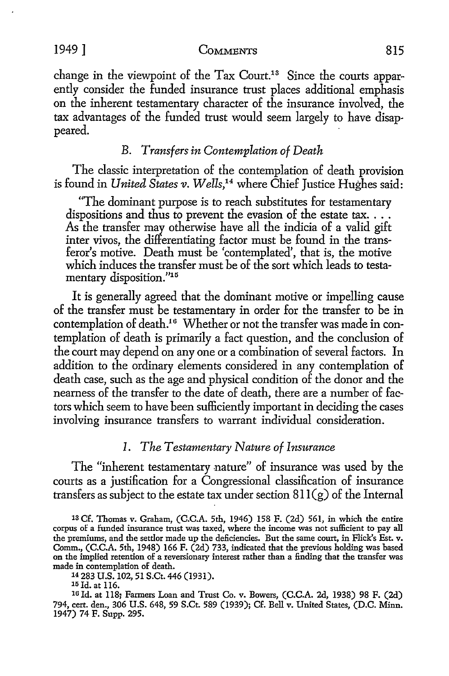change in the viewpoint of the Tax Court.<sup>13</sup> Since the courts apparently consider the funded insurance trust places additional emphasis on the inherent testamentary character of the insurance involved, the tax advantages of the funded trust would seem largely to have disappeared.

## B. *Transfers in Contemplation of Death*

The classic interpretation of the contemplation of death provision is found in *United States v. Wells,14* where Chief Justice Hughes said:

"The dominant purpose is to reach substitutes for testamentary dispositions and thus to prevent the evasion of the estate tax... As the transfer may otherwise have all the indicia of a valid gift inter vivos, the differentiating factor must be found in the transferor's motive. Death must be 'contemplated', that is, the motive which induces the transfer must be of the sort which leads to testamentary disposition."15

It is generally agreed that the dominant motive or impelling cause of the transfer must be testamentary in order for the transfer to be in contemplation of death.<sup>16</sup> Whether or not the transfer was made in contemplation of death is primarily a fact question, and the conclusion of the court may depend on any one or a combination of several factors. In addition to the ordinary elements considered in any contemplation of death case, such as the age and physical condition of the donor and the nearness of the transfer to the date of death, there are a number of factors which seem to have been sufficiently important in deciding the cases involving insurance transfers to warrant individual consideration.

## *I. The Testamentary Nature of Insurance*

The "inherent testamentary nature" of insurance was used by the courts as a justification for a Congressional classification of insurance transfers as subject to the estate tax under section  $811(g)$  of the Internal

14 283 U.S. 102, 51 S.Ct. 446 (1931).<br><sup>15</sup> Id. at 116.<br><sup>16</sup> Id. at 118; Farmers Loan and Trust Co. v. Bowers, (C.C.A. 2d, 1938) 98 F. (2d) 794, cert. den., 306 U.S. 648, 59 S.Ct. 589 (1939); Cf. Bell v. United States, (D.C. Minn. 1947) 74 F. Supp. 295.

<sup>13</sup> Cf. Thomas v. Graham, (C.C.A. 5th, 1946) 158 F. (2d) 561, in which the entire corpus of a funded insurance trust was taxed, where the income was not sufficient to pay all the premiums, and the settler made up the deficiencies. But the same court, in Flick's Est. v. Comm., (C.C.A. 5th, 1948) 166 F. (2d) 733, indicated that the previous holding was based on the implied retention of a reversionary interest rather than a finding that the transfer was made in contemplation of death.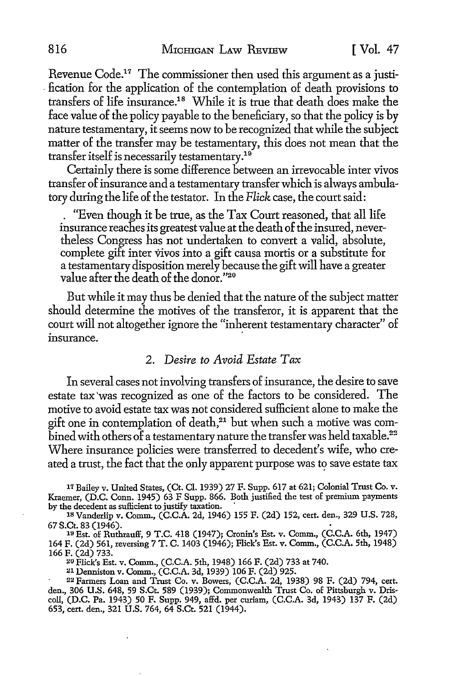Revenue Code.<sup>17</sup> The commissioner then used this argument as a justi-. £cation for the application of the contemplation of death provisions to transfers of life insurance.18 While it is true that death does make the face value of the policy payable to the beneficiary, so that the policy is by nature testamentary, it seems now to be recognized that while the subject matter of the transfer may be testamentary, this does not mean that the transfer itself is necessarily testamentary. $^{19}$ 

Certainly there is some difference between an irrevocable inter vivas transfer of insurance and a testamentary transfer which is always ambulatory during the life of the testator. In the *Flick* case, the court said:

. "Even though it be true, as the Tax Court reasoned, that all life insurance reaches its greatest value at the death of the insured, nevertheless Congress has not undertaken to convert a valid, absolute, complete gift inter vivas into a gift causa morris or a substitute for a testamentary disposition merely because the gift will have a greater value after the death of the donor."20

But while it may thus be denied that the nature of the subject matter should determine the motives of the transferor, it is apparent that the court will not altogether ignore the "inherent testamentary character" of insurance.

#### 2. *Desire to Avoid Estate Tax*

In several cases not involving transfers of insurance, the desire to save estate tax 'was recognized as one of the factors to be considered. The motive to avoid estate tax was not considered sufficient alone to make the gift one in contemplation of death,<sup>21</sup> but when such a motive was combined with others of a testamentary nature the transfer was held taxable.<sup>22</sup> Where insurance policies were transferred to decedent's wife, who created a trust, the fact that the only apparent purpose was to save estate tax

*11* Bailey v. United States, (Ct. Cl. 1939) 27 F. Supp. 617 at 621; Colonial Trust Co. v. Kraemer, (D.C. Conn. 1945) 63 F Supp. 866. Both justified the test of premium payments by the decedent as sufficient to justify taxation.

18 Vanderlip v. Comm., (C.C.A. 2d, 1946) 155 F. (2d) 152, cert. den., 329 U.S. 728, 67 S.Ct. 83 (1946).<br>
<sup>19</sup> Est. of Ruthrauff, 9 T.C. 418 (1947); Cronin's Est. v. Comm., (C.C.A. 6th, 1947)

164 F. (2d) 561, reversing 7 T. C. 1403 (1946); Flick's Est. v. Comm., (C.C.A. 5th, 1948)<br>166 F. (2d) 733.

166 F. (2d) 733. 20 Flick's Est. v. Comm., (C.C.A. 5th, 1948) 166 F. (2d) 733 at 740.

21 Denniston v. Comm., (C.C.A. 3d, 1939) 106 F. (2d) 925.

22 Farmers Loan and Trust Co. v. Bowers, (C.C.A. 2d, 1938) 98 F. (2d) 794, cert. den., 306 U.S. 648, 59 S.Ct. 589 (1939); Commonwealth Trust Co. of Pittsburgh v. Driscoll, (D.C. Pa. 1943) 50 F. Supp. 949, affd. per curiam, (C.C.A. 3d, 1943) 137 F. (2d) 653, cert. den., 321 U.S. 764, 64 S.Ct. 521 (1944).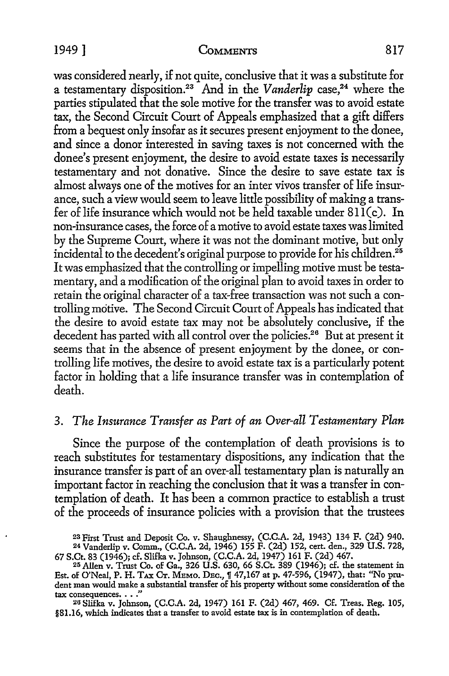#### 1949] COMMENTS 817

was considered nearly, if not quite, conclusive that it was a substitute for a testamentary disposition.<sup>23</sup> And in the *Vanderlip* case,<sup>24</sup> where the parties stipulated that the sole motive for the transfer was to avoid estate tax, the Second Circuit Court of Appeals emphasized that a gift differs from a bequest only insofar as it secures present enjoyment to the donee, and since a donor interested in saving taxes is not concerned with the donee's present enjoyment, the desire to avoid estate taxes is necessarily testamentary and not donative. Since the desire to save estate tax is almost always one of the motives for an inter vivos transfer of life insurance, such a view would seem to leave little possibility of making a transfer of life insurance which would not be held taxable under  $811(c)$ . In non-insurance cases, the force of a motive to avoid estate taxes was limited by the Supreme Court, where it was not the dominant motive, but only incidental to the decedent's original purpose to provide for his children.<sup>25</sup> It was emphasized that the controlling or impelling motive must be testamentary, and a modification of the original plan to avoid taxes in order to retain the original character of a tax-free transaction was not such a controlling motive. The Second Circuit Court of Appeals has indicated that the desire to avoid estate tax may not be absolutely conclusive, if the decedent has parted with all control over the policies.<sup>26</sup> But at present it seems that in the absence of present enjoyment by the donee, or controlling life motives, the desire to avoid estate tax is a particularly potent factor in holding that a life insurance transfer was in contemplation of death.

# 3. *The Insurance Transfer as Part of an Over-all Testamentary Plan*

Since the purpose of the contemplation of death provisions is to reach substitutes for testamentary dispositions, any indication that the insurance transfer is part of an over-all testamentary plan is naturally an important factor in reaching the conclusion that it was a transfer in contemplation of death. It has been a common practice to establish a trust of the proceeds of insurance policies with a provision that the trustees

2u Slifka v. Johnson, (C.C.A. 2d, 1947) 161 F. (2d) 467, 469. Cf. Treas. Reg. 105, §81.16, which indicates that a transfer to avoid estate tax is in contemplation of death.

<sup>23</sup> First Trust and Deposit Co. v. Shaughnessy, (C.C.A. 2d, 1943) 134 F. (2d) 940. 24 Vanderlip v. Comm., (C.C.A. 2d, 1946) 155 F. (2d) 152, cert. den., 329 U.S. 728,

<sup>67</sup> S.Ct. 83 (1946); cf. Slifka v. Johnson, (C.C.A. 2d, 1947) 161 F. (2d) 467.<br><sup>25</sup> Allen v. Trust Co. of Ga., 326 U.S. 630, 66 S.Ct. 389 (1946); cf. the statement in Est. of O'Neal, P. H. TAx Cr. MEMO. DEC.,  $\frac{1}{1}$  47,167 at p. 47-596, (1947), that: "No prudent man would make a substantial transfer of his property without some consideration of the tax consequences. . . ."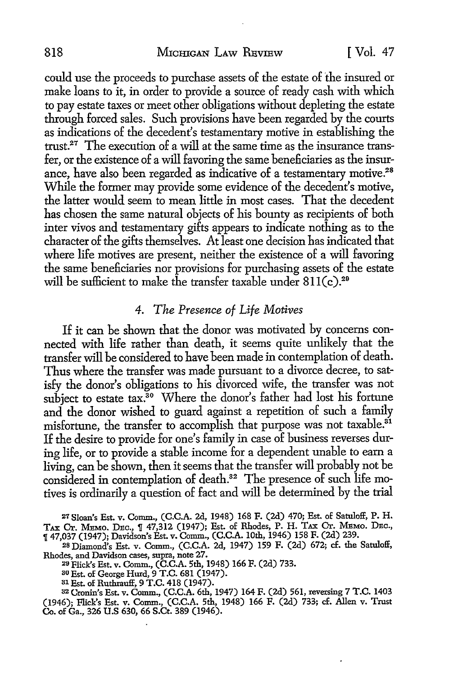could use the proceeds to purchase assets of the estate of 'the insured or make loans to it, in order to provide a source of ready cash with which to pay estate taxes or meet other obligations without depleting the estate through forced sales. Such provisions have been regarded by the courts as indications of the decedent's testamentary motive in establishing the trust.27 The execution of a will at the same time as the insurance transfer, or the existence of a will favoring the same beneficiaries as the insurance, have also been regarded as indicative of a testamentary motive.<sup>28</sup> While the former may provide some evidence of the decedent's motive, the latter would seem to mean little in most cases. That the decedent has chosen the same natural objects of his bounty as recipients of both inter vivos and testamentary gifts appears to indicate nothing as to the character of the gifts themselves. At least one decision has indicated that where life motives are present, neither the existence of a will favoring the same beneficiaries nor provisions for purchasing assets of the estate will be sufficient to make the transfer taxable under  $811(c).^{29}$ 

# *4. The Presence of Life Motives*

If it can be shown that the donor was motivated by concerns connected with life rather than death, it seems quite unlikely that the transfer will be considered to have been made in contemplation of death. Thus where the transfer was made pursuant to a divorce decree, to satisfy the donor's obligations to his divorced wife, the transfer was not subject to estate  $\text{tax}^{30}$  Where the donor's father had lost his fortune and the donor wished to guard against a repetition of such a family misfortune, the transfer to accomplish that purpose was not taxable.<sup>31</sup> If the desire to provide for one's family in case of business reverses during life, or to provide a stable income for a dependent unable to earn a living, can be shown, then it seems that the transfer will probably not be considered in contemplation of death.<sup>32</sup> The presence of such life motives is ordinarily a question of fact and will be determined by the trial

21 Sloan's Est. v. Comm., (C.C.A. 2d, 1948) 168 F. (2d) 470; Est. of Satuloff, P. H. TAX CT. MEMO. DEC., ¶ 47,312 (1947); Est. of Rhodes, P. H. TAX CT. MEMO. DEC., ,r 47,037 (1947); Davidson's Est. v. Comm., (C.C.A. 10th, 1946) 158 F. (2d) 239.

28 Diamond's Est. v. Comm., (C.C.A. 2d, 1947) 159 F. (2d) 672; cf. the Satuloff, Rhodes, and Davidson cases, supra, note 27. 211 Flick's Est. v. Comm., **(C.C.A.** 5th, 1948) 166 F. (2d) 733.

<sup>30</sup> Est. of George Hurd, 9 T.C. 681 (1947).<br><sup>31</sup> Est. of Ruthrauff, 9 T.C. 418 (1947).

<sup>81</sup> Est. of Ruthrauff, 9 T.C. 418 (1947).<br><sup>32</sup> Cronin's Est. v. Comm., (C.C.A. 6th, 1947) 164 F. (2d) 561, reversing 7 T.C. 1403 (1946); Flick's Est. v. Comm., (C.C.A. 5th, 1948) 166 F. (2d) 733; cf. Allen v. Trust Co. of Ga., 326 U.S 630, 66 S.Ct. 389 (1946).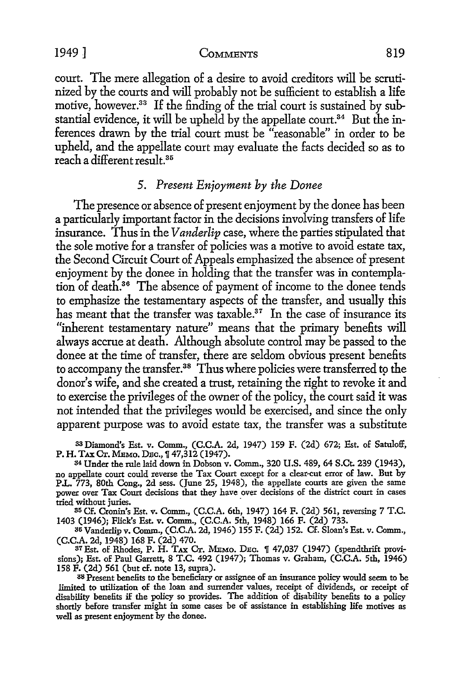1949 ] COMMENTS 819

court. The mere allegation of a desire to avoid creditors will be scrutinized by the courts and will probably not be sufficient to establish a life motive, however.<sup>33</sup> If the finding of the trial court is sustained by substantial evidence, it will be upheld by the appellate court.<sup>34</sup> But the inferences drawn by the trial court must be "reasonable" in order to be upheld, and the appellate court may evaluate the facts decided so as to reach a different result. 35

#### 5. *Present Enjoyment by the Donee*

The presence or absence of present enjoyment by the donee has been a particularly important factor in the decisions involving transfers of life insurance. Thus in the *Vanderlip* case, where the parties stipulated that the sole motive for a transfer of policies was a motive to avoid estate tax, the Second Circuit Court of Appeals emphasized the absence of present enjoyment by the donee in holding that the transfer was in contemplation of death.36 The absence of payment of income to the donee tends to emphasize the testamentary aspects of the transfer, and usually this has meant that the transfer was taxable. $37$  In the case of insurance its "inherent testamentary nature" means that the primary benefits will always accrue at death. Although absolute control may be passed to the donee at the time of transfer, there are seldom obvious present benefits to accompany the transfer.<sup>38</sup> Thus where policies were transferred to the donor's wife, and she created a trust, retaining the right to revoke it and to exercise the privileges of the owner of the policy, the court said it was not intended that the privileges would be exercised, and since the only apparent purpose was to avoid estate tax, the transfer was a substitute

<sup>33</sup>Diamond's Est. v. Comm., (C.C.A. 2d, 1947) 159 F. (2d) 672; Est. of Satuloff, P. H. TAX Cr. MEMO. DEC.,  $\sqrt{47,312}$  (1947).

<sup>84</sup>Under the rule laid down in Dobson v. Comm., 320 U.S. 489, 64 S.Ct. 239 (1943), no appellate court could reverse the Tax Court except for a clear-cut error of law. But by P.L. 773, 80th Cong., 2d sess. (June 25, 1948), the appellate courts are given the same power over Tax Court decisions that they have over decisions of the district court in cases tried without juries.

85 Cf. Cronin's Est. v. Comm., (C.C.A. 6th, 1947) 164 F. (2d) 561, reversing 7 T.C. 1403 (1946); Flick's Est. v. Comm., (C.C.A. 5th, 1948) 166 F. (2d) 733.

86 Vanderlip v. Comm., (C.C.A. 2d, 1946) 155 F. (2d) 152. Cf. Sloan's Est. v. Comm.,

(C.C.A. 2d, 1948) 168 F. (2d) 470.<br><sup>37</sup> Est. of Rhodes, P. H. Tдх Ст. Мемо. Dec. ¶ 47,037 (1947) (spendthrift provisions); Est. of Paul Garrett, 8 T.C. 492 (1947); Thomas v. Graham, (C.C.A. 5th, 1946) 158 F. (2d) 561 (but cf. note 13, supra).

<sup>88</sup> Present benefits to the beneficiary or assignee of an insurance policy would seem to be limited to utilization of the loan and surrender values, receipt of dividends, or receipt of disability benefits if the policy so provides. The addition of disability benefits to a policy shortly before transfer might in some cases be of assistance in establishing life motives as well as present enjoyment by the donee.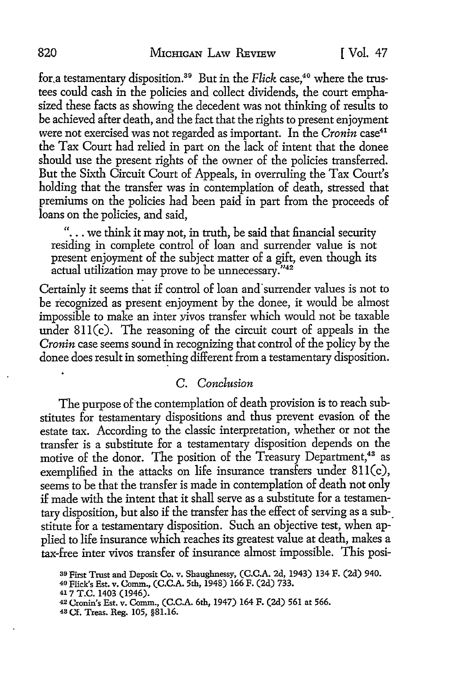for a testamentary disposition.<sup>39</sup> But in the *Flick* case,<sup>40</sup> where the trustees could cash in the policies and collect dividends, the court emphasized these facts as showing the decedent was not thinking of results to *be* achieved after death, and the fact that the rights to present enjoyment were not exercised was not regarded as important. In the *Cronin* case<sup>41</sup> the Tax Court had relied in part on the lack of intent that the donee should use the present rights of the owner of the policies transferred. But the Sixth Circuit Court of Appeals, in overruling the Tax Court's holding that the transfer was in contemplation of death, stressed that premiums on the policies had been paid in part from the proceeds of loans on the policies, and said,

 $\ldots$  we think it may not, in truth, be said that financial security residing in complete control of loan and surrender value is not present enjoyment of the subject matter of a gift, even though its actual utilization may prove to be unnecessary ."42

Certainly it seems that if control of loan and surrender values is not to be recognized as present enjoyment by the donee, it would be almost impossible to make an inter vivos transfer which would not be taxable under  $811(c)$ . The reasoning of the circuit court of appeals in the *Cronin* case seems sound in recognizing that control of the policy by the donee does result in something different from a testamentary disposition.

#### C. *Conclusion*

The purpose of the contemplation of death provision is to reach substitutes for testamentary dispositions and thus prevent evasion of the estate tax. According to the classic interpretation, whether or not the transfer is a substitute for a testamentary disposition depends on the motive of the donor. The position of the Treasury Department.<sup>43</sup> as exemplified in the attacks on life insurance transfers under 8ll(c), seems to be that the transfer is made in contemplation of death not only if made with the intent that it shall serve as a substitute for a testamentary disposition, but also if the transfer has the effect of serving as a sub-\_ stitute for a testamentary disposition. Such an objective test, when applied to life insurance which reaches its greatest value at death, makes a tax-free inter vivas transfer of insurance almost impossible. This posi-

ao First Trust and Deposit Co. v. Shaughnessy, (C.C.A. 2d, 1943) 134 F. (2d) 940.

<sup>40</sup> Flick's Est. v. Comm., (C.C.A. 5th, 1948) 166 F. (2d) 733.

<sup>417</sup> T.C. 1403 (1946).

<sup>42</sup>Cronin's Est. v. Comm., (C.C.A. 6th, 1947) 164 F. (2d) 561 at 566.

<sup>43</sup> Cf. Treas. Reg. 105, §81.16.